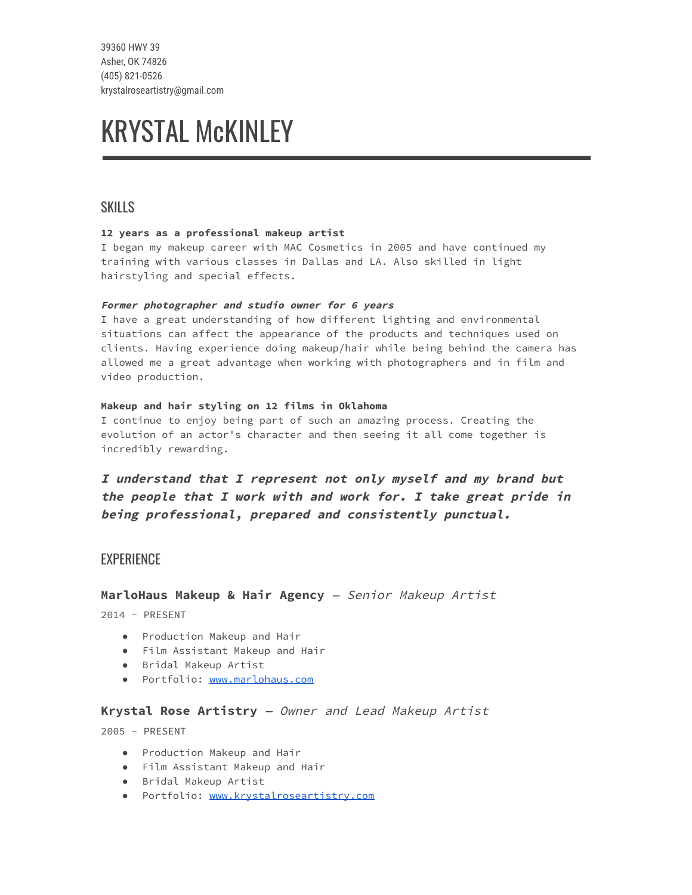39360 HWY 39 Asher, OK 74826 (405) 821-0526 krystalroseartistry@gmail.com

# KRYSTAL McKINLEY

## **SKILLS**

#### 12 years as a professional makeup artist

I began my makeup career with MAC Cosmetics in 2005 and have continued my training with various classes in Dallas and LA. Also skilled in light hairstyling and special effects.

#### Former photographer and studio owner for <sup>6</sup> years

I have a great understanding of how different lighting and environmental situations can affect the appearance of the products and techniques used on clients. Having experience doing makeup/hair while being behind the camera has allowed me a great advantage when working with photographers and in film and video production.

#### Makeup and hair styling on 12 films in Oklahoma

I continue to enjoy being part of such an amazing process. Creating the evolution of an actor's character and then seeing it all come together is incredibly rewarding.

I understand that I represent not only myself and my brand but the people that <sup>I</sup> work with and work for. <sup>I</sup> take great pride in being professional, prepared and consistently punctual.

## **EXPERIENCE**

#### MarloHaus Makeup & Hair Agency - Senior Makeup Artist

2014 - PRESENT

- Production Makeup and Hair
- Film Assistant Makeup and Hair
- Bridal Makeup Artist
- Portfolio: [www.marlohaus.com](http://www.marlohaus.com/)

#### Krystal Rose Artistry — Owner and Lead Makeup Artist

2005 - PRESENT

- Production Makeup and Hair
- Film Assistant Makeup and Hair
- Bridal Makeup Artist
- Portfolio: [www.krystalroseartistry.com](http://www.krystalroseartistry.com/)